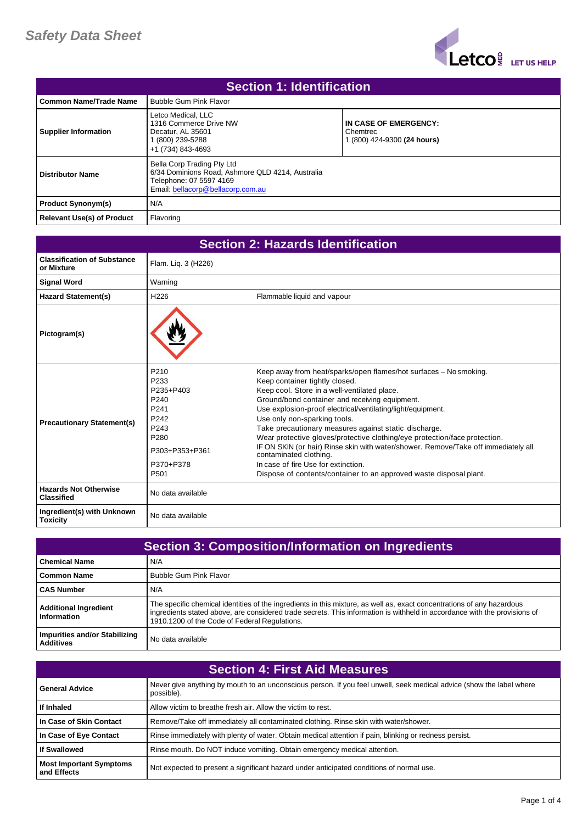

| <b>Section 1: Identification</b>  |                                                                                                                                                |                                                                  |
|-----------------------------------|------------------------------------------------------------------------------------------------------------------------------------------------|------------------------------------------------------------------|
| l Common Name/Trade Name          | <b>Bubble Gum Pink Flavor</b>                                                                                                                  |                                                                  |
| <b>Supplier Information</b>       | Letco Medical, LLC<br>1316 Commerce Drive NW<br>Decatur. AL 35601<br>(800) 239-5288<br>+1 (734) 843-4693                                       | IN CASE OF EMERGENCY:<br>Chemtrec<br>1 (800) 424-9300 (24 hours) |
| <b>Distributor Name</b>           | Bella Corp Trading Pty Ltd<br>6/34 Dominions Road, Ashmore QLD 4214, Australia<br>Telephone: 07 5597 4169<br>Email: bellacorp@bellacorp.com.au |                                                                  |
| <b>Product Synonym(s)</b>         | N/A                                                                                                                                            |                                                                  |
| <b>Relevant Use(s) of Product</b> | Flavoring                                                                                                                                      |                                                                  |

| <b>Section 2: Hazards Identification</b>          |                                                                                                                                                          |                                                                                                                                                                                                                                                                                                                                                                                                                                                                                                                                                                                                                                                                          |
|---------------------------------------------------|----------------------------------------------------------------------------------------------------------------------------------------------------------|--------------------------------------------------------------------------------------------------------------------------------------------------------------------------------------------------------------------------------------------------------------------------------------------------------------------------------------------------------------------------------------------------------------------------------------------------------------------------------------------------------------------------------------------------------------------------------------------------------------------------------------------------------------------------|
| <b>Classification of Substance</b><br>or Mixture  | Flam. Liq. 3 (H226)                                                                                                                                      |                                                                                                                                                                                                                                                                                                                                                                                                                                                                                                                                                                                                                                                                          |
| <b>Signal Word</b>                                | Warning                                                                                                                                                  |                                                                                                                                                                                                                                                                                                                                                                                                                                                                                                                                                                                                                                                                          |
| <b>Hazard Statement(s)</b>                        | H <sub>226</sub>                                                                                                                                         | Flammable liquid and vapour                                                                                                                                                                                                                                                                                                                                                                                                                                                                                                                                                                                                                                              |
| Pictogram(s)                                      |                                                                                                                                                          |                                                                                                                                                                                                                                                                                                                                                                                                                                                                                                                                                                                                                                                                          |
| <b>Precautionary Statement(s)</b>                 | P <sub>210</sub><br>P233<br>P235+P403<br>P <sub>240</sub><br>P241<br>P242<br>P <sub>243</sub><br>P <sub>280</sub><br>P303+P353+P361<br>P370+P378<br>P501 | Keep away from heat/sparks/open flames/hot surfaces - No smoking.<br>Keep container tightly closed.<br>Keep cool. Store in a well-ventilated place.<br>Ground/bond container and receiving equipment.<br>Use explosion-proof electrical/ventilating/light/equipment.<br>Use only non-sparking tools.<br>Take precautionary measures against static discharge.<br>Wear protective gloves/protective clothing/eye protection/face protection.<br>IF ON SKIN (or hair) Rinse skin with water/shower. Remove/Take off immediately all<br>contaminated clothing.<br>In case of fire Use for extinction.<br>Dispose of contents/container to an approved waste disposal plant. |
| <b>Hazards Not Otherwise</b><br><b>Classified</b> | No data available                                                                                                                                        |                                                                                                                                                                                                                                                                                                                                                                                                                                                                                                                                                                                                                                                                          |
| Ingredient(s) with Unknown<br><b>Toxicity</b>     | No data available                                                                                                                                        |                                                                                                                                                                                                                                                                                                                                                                                                                                                                                                                                                                                                                                                                          |

| <b>Section 3: Composition/Information on Ingredients</b> |                                                                                                                                                                                                                                                                                                      |
|----------------------------------------------------------|------------------------------------------------------------------------------------------------------------------------------------------------------------------------------------------------------------------------------------------------------------------------------------------------------|
| <b>Chemical Name</b>                                     | N/A                                                                                                                                                                                                                                                                                                  |
| <b>Common Name</b>                                       | <b>Bubble Gum Pink Flavor</b>                                                                                                                                                                                                                                                                        |
| <b>CAS Number</b>                                        | N/A                                                                                                                                                                                                                                                                                                  |
| <b>Additional Ingredient</b><br>Information              | The specific chemical identities of the ingredients in this mixture, as well as, exact concentrations of any hazardous<br>ingredients stated above, are considered trade secrets. This information is withheld in accordance with the provisions of<br>1910.1200 of the Code of Federal Regulations. |
| Impurities and/or Stabilizing<br><b>Additives</b>        | No data available                                                                                                                                                                                                                                                                                    |

| <b>Section 4: First Aid Measures</b>          |                                                                                                                                    |
|-----------------------------------------------|------------------------------------------------------------------------------------------------------------------------------------|
| <b>General Advice</b>                         | Never give anything by mouth to an unconscious person. If you feel unwell, seek medical advice (show the label where<br>possible). |
| If Inhaled                                    | Allow victim to breathe fresh air. Allow the victim to rest.                                                                       |
| In Case of Skin Contact                       | Remove/Take off immediately all contaminated clothing. Rinse skin with water/shower.                                               |
| In Case of Eye Contact                        | Rinse immediately with plenty of water. Obtain medical attention if pain, blinking or redness persist.                             |
| <b>If Swallowed</b>                           | Rinse mouth. Do NOT induce vomiting. Obtain emergency medical attention.                                                           |
| <b>Most Important Symptoms</b><br>and Effects | Not expected to present a significant hazard under anticipated conditions of normal use.                                           |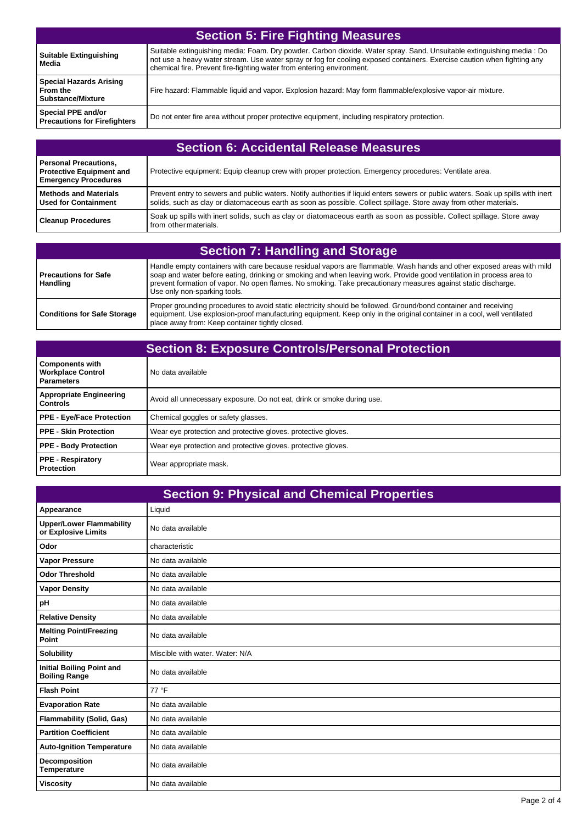| <b>Section 5: Fire Fighting Measures</b>                               |                                                                                                                                                                                                                                                                                                                           |
|------------------------------------------------------------------------|---------------------------------------------------------------------------------------------------------------------------------------------------------------------------------------------------------------------------------------------------------------------------------------------------------------------------|
| <b>Suitable Extinguishing</b><br>Media                                 | Suitable extinguishing media: Foam. Dry powder. Carbon dioxide. Water spray. Sand. Unsuitable extinguishing media: Do<br>not use a heavy water stream. Use water spray or fog for cooling exposed containers. Exercise caution when fighting any<br>chemical fire. Prevent fire-fighting water from entering environment. |
| <b>Special Hazards Arising</b><br>From the<br><b>Substance/Mixture</b> | Fire hazard: Flammable liquid and vapor. Explosion hazard: May form flammable/explosive vapor-air mixture.                                                                                                                                                                                                                |
| Special PPE and/or<br><b>Precautions for Firefighters</b>              | Do not enter fire area without proper protective equipment, including respiratory protection.                                                                                                                                                                                                                             |

| <b>Section 6: Accidental Release Measures</b>                                           |                                                                                                                                                                                                                                                         |
|-----------------------------------------------------------------------------------------|---------------------------------------------------------------------------------------------------------------------------------------------------------------------------------------------------------------------------------------------------------|
| Personal Precautions,<br><b>Protective Equipment and</b><br><b>Emergency Procedures</b> | Protective equipment: Equip cleanup crew with proper protection. Emergency procedures: Ventilate area.                                                                                                                                                  |
| l Methods and Materials<br>l Used for Containment                                       | Prevent entry to sewers and public waters. Notify authorities if liquid enters sewers or public waters. Soak up spills with inert<br>solids, such as clay or diatomaceous earth as soon as possible. Collect spillage. Store away from other materials. |
| <b>Cleanup Procedures</b>                                                               | Soak up spills with inert solids, such as clay or diatomaceous earth as soon as possible. Collect spillage. Store away<br>from other materials.                                                                                                         |

| <b>Section 7: Handling and Storage</b>  |                                                                                                                                                                                                                                                                                                                                                                                                |
|-----------------------------------------|------------------------------------------------------------------------------------------------------------------------------------------------------------------------------------------------------------------------------------------------------------------------------------------------------------------------------------------------------------------------------------------------|
| Precautions for Safe<br><b>Handling</b> | Handle empty containers with care because residual vapors are flammable. Wash hands and other exposed areas with mild<br>soap and water before eating, drinking or smoking and when leaving work. Provide good ventilation in process area to<br>prevent formation of vapor. No open flames. No smoking. Take precautionary measures against static discharge.<br>Use only non-sparking tools. |
| <b>Conditions for Safe Storage</b>      | Proper grounding procedures to avoid static electricity should be followed. Ground/bond container and receiving<br>equipment. Use explosion-proof manufacturing equipment. Keep only in the original container in a cool, well ventilated<br>place away from: Keep container tightly closed.                                                                                                   |

| <b>Section 8: Exposure Controls/Personal Protection</b>                 |                                                                        |
|-------------------------------------------------------------------------|------------------------------------------------------------------------|
| <b>Components with</b><br><b>Workplace Control</b><br><b>Parameters</b> | No data available                                                      |
| <b>Appropriate Engineering</b><br><b>Controls</b>                       | Avoid all unnecessary exposure. Do not eat, drink or smoke during use. |
| <b>PPE - Eye/Face Protection</b>                                        | Chemical goggles or safety glasses.                                    |
| <b>PPE - Skin Protection</b>                                            | Wear eye protection and protective gloves. protective gloves.          |
| <b>PPE - Body Protection</b>                                            | Wear eye protection and protective gloves, protective gloves.          |
| <b>PPE - Respiratory</b><br><b>Protection</b>                           | Wear appropriate mask.                                                 |

| <b>Section 9: Physical and Chemical Properties</b>       |                                 |
|----------------------------------------------------------|---------------------------------|
| Appearance                                               | Liquid                          |
| <b>Upper/Lower Flammability</b><br>or Explosive Limits   | No data available               |
| Odor                                                     | characteristic                  |
| <b>Vapor Pressure</b>                                    | No data available               |
| <b>Odor Threshold</b>                                    | No data available               |
| <b>Vapor Density</b>                                     | No data available               |
| pH                                                       | No data available               |
| <b>Relative Density</b>                                  | No data available               |
| <b>Melting Point/Freezing</b><br>Point                   | No data available               |
| <b>Solubility</b>                                        | Miscible with water. Water: N/A |
| <b>Initial Boiling Point and</b><br><b>Boiling Range</b> | No data available               |
| <b>Flash Point</b>                                       | 77 °F                           |
| <b>Evaporation Rate</b>                                  | No data available               |
| <b>Flammability (Solid, Gas)</b>                         | No data available               |
| <b>Partition Coefficient</b>                             | No data available               |
| <b>Auto-Ignition Temperature</b>                         | No data available               |
| <b>Decomposition</b><br><b>Temperature</b>               | No data available               |
| <b>Viscosity</b>                                         | No data available               |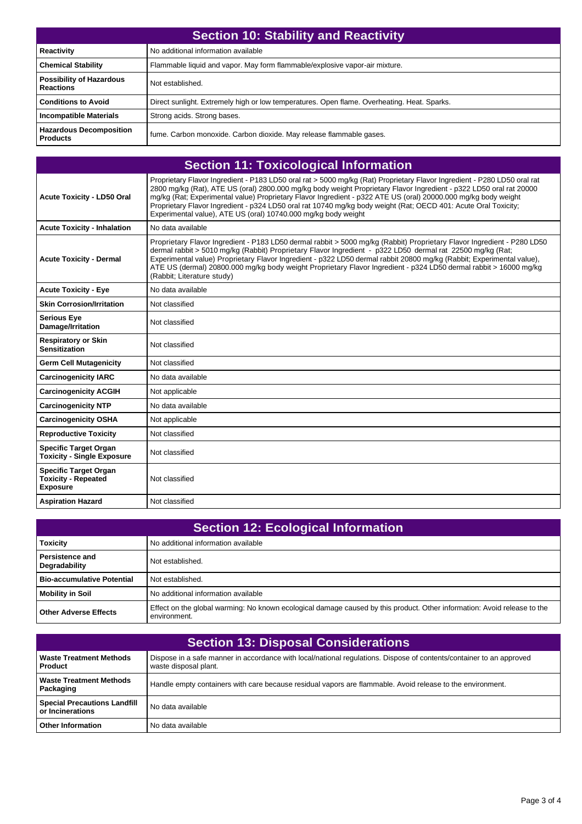| Section 10: Stability and Reactivity                |                                                                                             |
|-----------------------------------------------------|---------------------------------------------------------------------------------------------|
| Reactivity                                          | No additional information available                                                         |
| <b>Chemical Stability</b>                           | Flammable liquid and vapor. May form flammable/explosive vapor-air mixture.                 |
| <b>Possibility of Hazardous</b><br><b>Reactions</b> | Not established.                                                                            |
| <b>Conditions to Avoid</b>                          | Direct sunlight. Extremely high or low temperatures. Open flame. Overheating. Heat. Sparks. |
| <b>Incompatible Materials</b>                       | Strong acids. Strong bases.                                                                 |
| <b>Hazardous Decomposition</b><br><b>Products</b>   | fume. Carbon monoxide. Carbon dioxide. May release flammable gases.                         |

| <b>Section 11: Toxicological Information</b>                                  |                                                                                                                                                                                                                                                                                                                                                                                                                                                                                                                                                        |
|-------------------------------------------------------------------------------|--------------------------------------------------------------------------------------------------------------------------------------------------------------------------------------------------------------------------------------------------------------------------------------------------------------------------------------------------------------------------------------------------------------------------------------------------------------------------------------------------------------------------------------------------------|
| <b>Acute Toxicity - LD50 Oral</b>                                             | Proprietary Flavor Ingredient - P183 LD50 oral rat > 5000 mg/kg (Rat) Proprietary Flavor Ingredient - P280 LD50 oral rat<br>2800 mg/kg (Rat), ATE US (oral) 2800.000 mg/kg body weight Proprietary Flavor Ingredient - p322 LD50 oral rat 20000<br>mg/kg (Rat; Experimental value) Proprietary Flavor Ingredient - p322 ATE US (oral) 20000.000 mg/kg body weight<br>Proprietary Flavor Ingredient - p324 LD50 oral rat 10740 mg/kg body weight (Rat; OECD 401: Acute Oral Toxicity;<br>Experimental value), ATE US (oral) 10740.000 mg/kg body weight |
| <b>Acute Toxicity - Inhalation</b>                                            | No data available                                                                                                                                                                                                                                                                                                                                                                                                                                                                                                                                      |
| <b>Acute Toxicity - Dermal</b>                                                | Proprietary Flavor Ingredient - P183 LD50 dermal rabbit > 5000 mg/kg (Rabbit) Proprietary Flavor Ingredient - P280 LD50<br>dermal rabbit > 5010 mg/kg (Rabbit) Proprietary Flavor Ingredient - p322 LD50 dermal rat 22500 mg/kg (Rat;<br>Experimental value) Proprietary Flavor Ingredient - p322 LD50 dermal rabbit 20800 mg/kg (Rabbit; Experimental value),<br>ATE US (dermal) 20800.000 mg/kg body weight Proprietary Flavor Ingredient - p324 LD50 dermal rabbit > 16000 mg/kg<br>(Rabbit; Literature study)                                      |
| <b>Acute Toxicity - Eye</b>                                                   | No data available                                                                                                                                                                                                                                                                                                                                                                                                                                                                                                                                      |
| <b>Skin Corrosion/Irritation</b>                                              | Not classified                                                                                                                                                                                                                                                                                                                                                                                                                                                                                                                                         |
| <b>Serious Eye</b><br>Damage/Irritation                                       | Not classified                                                                                                                                                                                                                                                                                                                                                                                                                                                                                                                                         |
| <b>Respiratory or Skin</b><br><b>Sensitization</b>                            | Not classified                                                                                                                                                                                                                                                                                                                                                                                                                                                                                                                                         |
| <b>Germ Cell Mutagenicity</b>                                                 | Not classified                                                                                                                                                                                                                                                                                                                                                                                                                                                                                                                                         |
| <b>Carcinogenicity IARC</b>                                                   | No data available                                                                                                                                                                                                                                                                                                                                                                                                                                                                                                                                      |
| <b>Carcinogenicity ACGIH</b>                                                  | Not applicable                                                                                                                                                                                                                                                                                                                                                                                                                                                                                                                                         |
| <b>Carcinogenicity NTP</b>                                                    | No data available                                                                                                                                                                                                                                                                                                                                                                                                                                                                                                                                      |
| <b>Carcinogenicity OSHA</b>                                                   | Not applicable                                                                                                                                                                                                                                                                                                                                                                                                                                                                                                                                         |
| <b>Reproductive Toxicity</b>                                                  | Not classified                                                                                                                                                                                                                                                                                                                                                                                                                                                                                                                                         |
| <b>Specific Target Organ</b><br><b>Toxicity - Single Exposure</b>             | Not classified                                                                                                                                                                                                                                                                                                                                                                                                                                                                                                                                         |
| <b>Specific Target Organ</b><br><b>Toxicity - Repeated</b><br><b>Exposure</b> | Not classified                                                                                                                                                                                                                                                                                                                                                                                                                                                                                                                                         |
| <b>Aspiration Hazard</b>                                                      | Not classified                                                                                                                                                                                                                                                                                                                                                                                                                                                                                                                                         |

| <b>Section 12: Ecological Information</b> |                                                                                                                                          |
|-------------------------------------------|------------------------------------------------------------------------------------------------------------------------------------------|
| <b>Toxicity</b>                           | No additional information available                                                                                                      |
| <b>Persistence and</b><br>Degradability   | Not established.                                                                                                                         |
| <b>Bio-accumulative Potential</b>         | Not established.                                                                                                                         |
| <b>Mobility in Soil</b>                   | No additional information available                                                                                                      |
| <b>Other Adverse Effects</b>              | Effect on the global warming: No known ecological damage caused by this product. Other information: Avoid release to the<br>environment. |

| <b>Section 13: Disposal Considerations</b>              |                                                                                                                                               |  |
|---------------------------------------------------------|-----------------------------------------------------------------------------------------------------------------------------------------------|--|
| <b>Waste Treatment Methods</b><br><b>Product</b>        | Dispose in a safe manner in accordance with local/national regulations. Dispose of contents/container to an approved<br>waste disposal plant. |  |
| <b>Waste Treatment Methods</b><br>Packaging             | Handle empty containers with care because residual vapors are flammable. Avoid release to the environment.                                    |  |
| <b>Special Precautions Landfill</b><br>or Incinerations | No data available                                                                                                                             |  |
| <b>Other Information</b>                                | No data available                                                                                                                             |  |